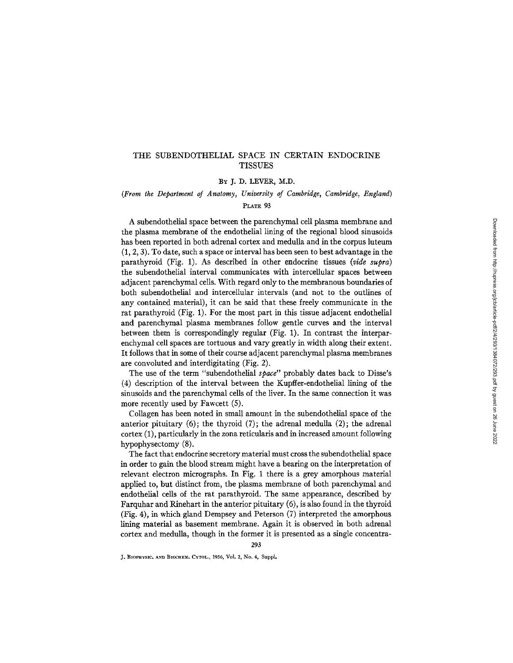## THE SUBENDOTHELIAL SPACE IN CERTAIN ENDOCRINE **TISSUES**

## BY J. D. LEVER, M.D.

# *(From the Department of Anatomy, University of Cambridge, Cambridge, England)*

## PLATE 93

A subendothelial space between the parenchymal cell plasma membrane and the plasma membrane of the endothelial lining of the regional blood sinusoids has been reported in both adrenal cortex and medulla and in the corpus luteum (1, 2, 3). To date, such a space or interval has been seen to best advantage in the parathyroid (Fig. 1). As described in other endocrine tissues *(vide supra)*  the subendothelial interval communicates with intercellular spaces between adjacent parenchymal cells. With regard only to the membranous boundaries of both subendothelial and intercellular intervals (and not to the outlines of any contained material), it can be said that these freely communicate in the rat parathyroid (Fig. 1). For the most part in this tissue adjacent endothelial and parenchymal plasma membranes follow gentle curves and the interval between them is correspondingly regular (Fig. 1). In contrast the interparenchymal cell spaces are tortuous and vary greatly in width along their extent. It follows that in some of their course adjacent parenchymal plasma membranes are convoluted and interdigitating (Fig. 2).

The use of the term "subendothelial *space"* probably dates back to Disse's (4) description of the interval between the Kupffer-endothelial lining of the sinusoids and the parenchymal cells of the liver. In the same connection it was more recently used by Fawcett (5).

Collagen has been noted in small amount in the subendothelial space of the anterior pituitary  $(6)$ ; the thyroid  $(7)$ ; the adrenal medulla  $(2)$ ; the adrenal cortex (1), particularly in the zona reticularis and in increased amount following hypophysectomy (8).

The fact that endocrine secretory material must cross the subendothelial space in order to gain the blood stream might have a bearing on the interpretation of relevant electron micrographs. In Fig. 1 there is a grey amorphous material applied to, but distinct from, the plasma membrane of both parenchymal and endothelial cells of the rat parathyroid. The same appearance, described by Farquhar and Rinehart in the anterior pituitary (6), is also found in the thyroid (Fig. 4), in which gland Dempsey and Peterson (7) interpreted the amorphous lining material as basement membrane. Again it is observed in both adrenal cortex and medulla, though in the former it is presented as a single concentra-

293

J. BIOPHYSIC, AND BIOCHEM, CYTOL., 1956, Vol. 2, No. 4, Suppl.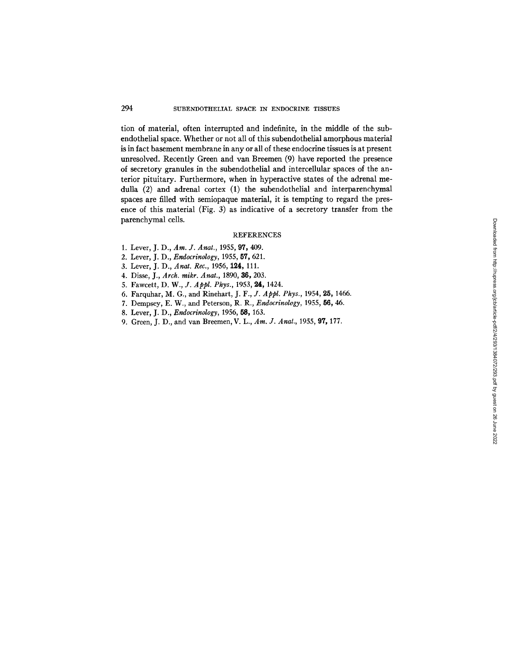tion of material, often interrupted and indefinite, in the middle of the subendothelial space. Whether or not all of this subendothelial amorphous material is in fact basement membrane in any or all of these endocrine tissues is at present unresolved. Recently Green and van Breemen (9) have reported the presence of secretory granules in the subendothelial and intercellular spaces of the anterior pituitary. Furthermore, when in hyperactive states of the adrenal medulla (2) and adrenal cortex (1) the subendothelial and interparenchymal spaces are filled with semiopaque material, it is tempting to regard the presence of this material (Fig. 3) as indicative of a secretory transfer from the parenchymal cells.

## REFERENCES

- 1. Lever, J. D., *Am. J. Anat.,* 1955, 97, 409.
- 2. Lever, J. D., *Endocrinology,* 1955, 57, 621.
- 3. Lever, J. D., *Anat. Rec.,* 1956, 124, 111.
- 4. Disse, J., *Arch. mikr. Anat.,* 1890, 36, 203.
- 5. Fawcett, *D. W., J. Appl. Phys.,* 1953, 24, 1424.
- 6. Farquhar, M. G., and Rinehart, *J. F., J. Appl. Phys.,* 1954, 25, 1466.
- 7. Dempsey, E. W., and Peterson, R. R., *Endocrinology,* 1955, 56, 46.
- 8. Lever, J. D., *Endocrinology,* 1956, 58, 163.
- 9. Green, J. D., and van Breemen, V. L., *Am. J. Anat.,* 1955, 97, 177.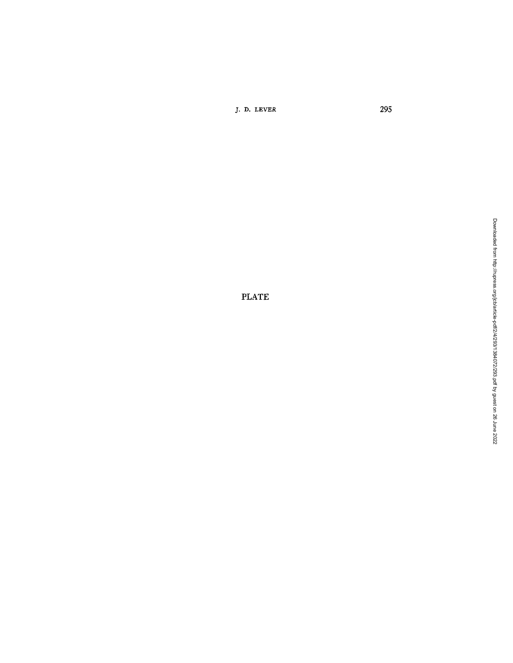J. D. LEVER 295

PLATE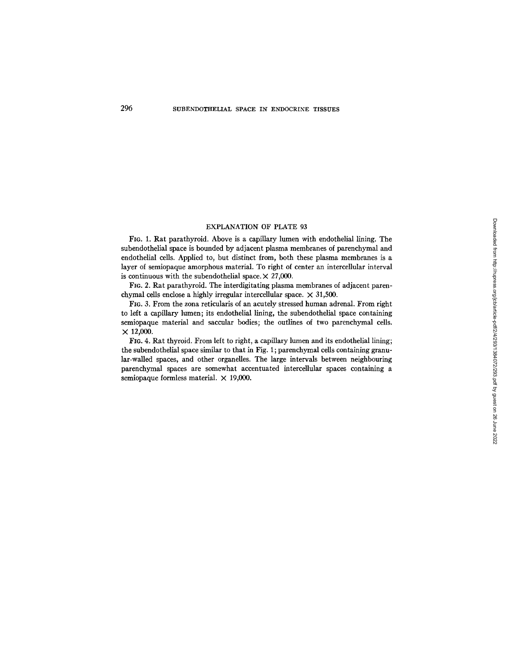### EXPLANATION OF PLATE 93

FIG. 1. Rat parathyroid. Above is a capillary lumen with endothelial lining. The subendothelial space is bounded by adjacent plasma membranes of parenchymal and endothelial cells. Applied to, but distinct from, both these plasma membranes is a layer of semiopaque amorphous material. To right of center an intercellular interval is continuous with the subendothelial space.  $\times$  27,000.

FIG. 2. Rat parathyroid. The interdigitating plasma membranes of adjacent parenchymal cells enclose a highly irregular intercellular space.  $\times$  31,500.

FI6. 3. From the zona reticularis of an acutely stressed human adrenal. From right to left a capillary lumen; its endothelial lining, the subendothelial space containing semiopaque material and saccular bodies; the outlines of two parenchymal cells.  $\times$  12,000.

FIO. 4. Rat thyroid. From left to right, a capillary lumen and its endothelial lining; the subendothelial space similar to that in Fig. 1; parenchymal cells containing granular-walled spaces, and other organelles. The large intervals between neighbouring parenchymal spaces are somewhat accentuated intercellular spaces containing a semiopaque formless material.  $\times$  19,000.